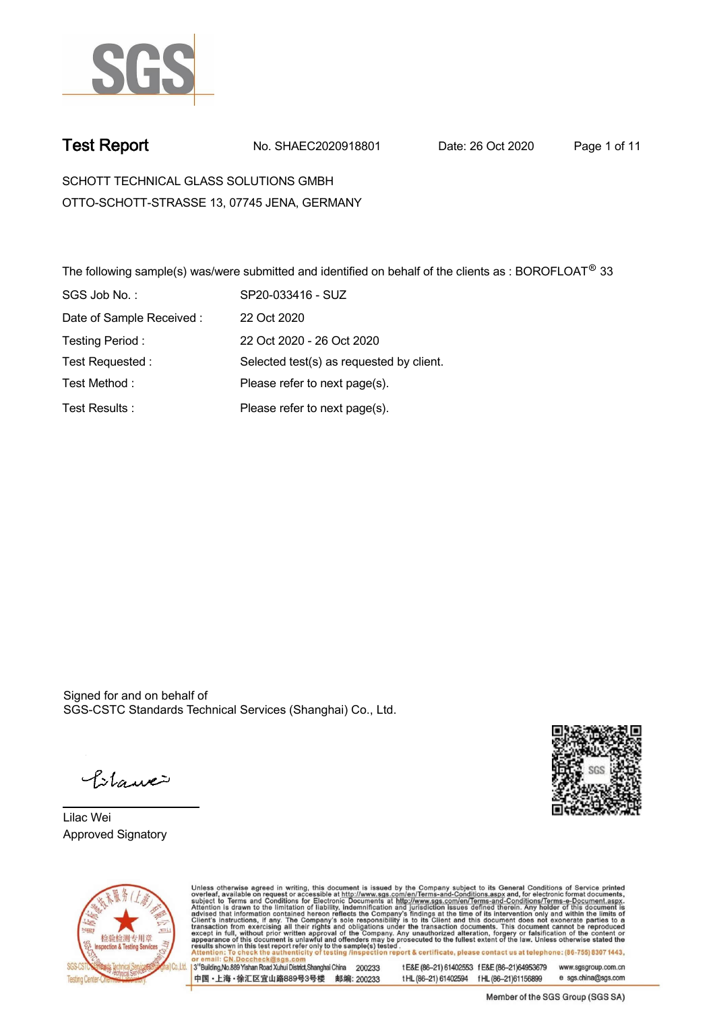

**Test Report. No. SHAEC2020918801 Date: 26 Oct 2020. Page 1 of 11.**

**SCHOTT TECHNICAL GLASS SOLUTIONS GMBH . OTTO-SCHOTT-STRASSE 13, 07745 JENA, GERMANY**

**The following sample(s) was/were submitted and identified on behalf of the clients as : BOROFLOAT® 33 . SGS Job No. : SP20-033416 - SUZ. Date of Sample Received : . 22 Oct 2020. Testing Period :. 22 Oct 2020 - 26 Oct 2020 . Test Requested :. Selected test(s) as requested by client. . Please refer to next page(s). . Please refer to next page(s). . Test Method :. Test Results :.**

Signed for and on behalf of SGS-CSTC Standards Technical Services (Shanghai) Co., Ltd..

Pitawe

**Lilac Wei. Approved Signatory .**





Unless otherwise agreed in writing, this document is issued by the Company subject to its General Conditions of Service printed overleaf, available on request or accessible at http://www.sgs.com/en/Terms-and-Conditions.asp tE&E (86-21) 61402553 fE&E (86-21)64953679 www.sgsgroup.com.cn 3<sup>rd</sup> Building No.889 Yishan Road Xuhui District Shanghai China 200233

中国·上海·徐汇区宜山路889号3号楼 邮编: 200233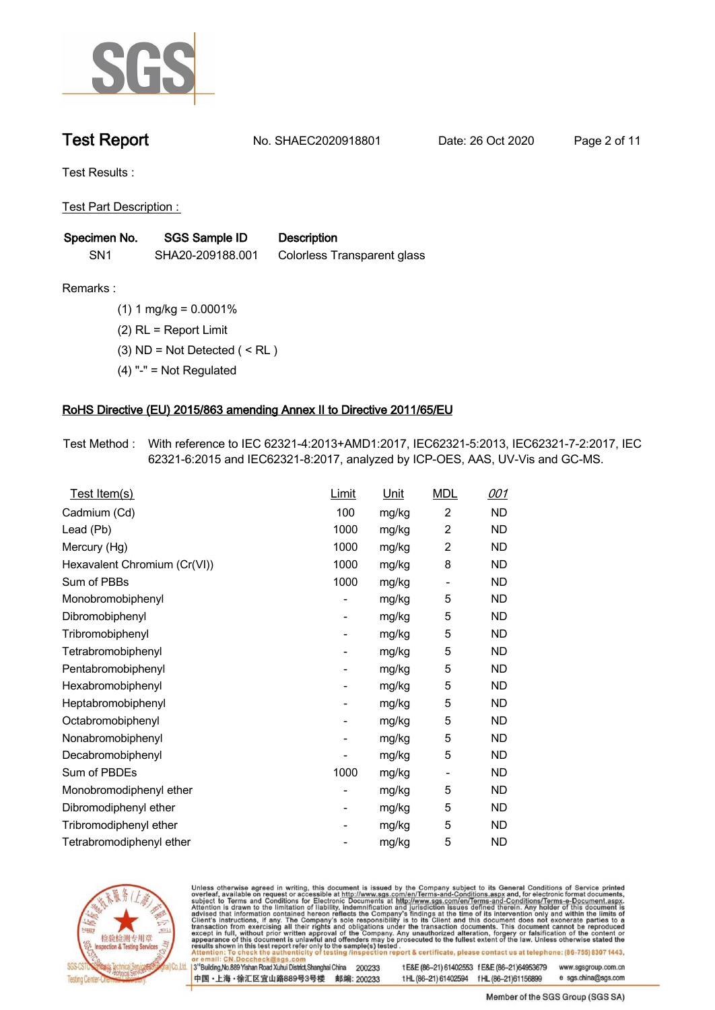

**Test Report. No. SHAEC2020918801 Date: 26 Oct 2020. Page 2 of 11.**

**Test Results :.**

**Test Part Description : .**

| Specimen No.    | <b>SGS Sample ID</b> | <b>Description</b>          |
|-----------------|----------------------|-----------------------------|
| SN <sub>1</sub> | SHA20-209188.001     | Colorless Transparent glass |

- **Remarks :.(1) 1 mg/kg = 0.0001% . (2) RL = Report Limit .**
	- **(3) ND = Not Detected ( < RL ) .**
	- **(4) "-" = Not Regulated .**

### **RoHS Directive (EU) 2015/863 amending Annex II to Directive 2011/65/EU.**

**Test Method :. With reference to IEC 62321-4:2013+AMD1:2017, IEC62321-5:2013, IEC62321-7-2:2017, IEC 62321-6:2015 and IEC62321-8:2017, analyzed by ICP-OES, AAS, UV-Vis and GC-MS. .**

| <u>Test Item(s)</u>          | <b>Limit</b>                 | <u>Unit</u> | <b>MDL</b>               | 001       |
|------------------------------|------------------------------|-------------|--------------------------|-----------|
| Cadmium (Cd)                 | 100                          | mg/kg       | $\overline{c}$           | <b>ND</b> |
| Lead (Pb)                    | 1000                         | mg/kg       | 2                        | <b>ND</b> |
| Mercury (Hg)                 | 1000                         | mg/kg       | 2                        | <b>ND</b> |
| Hexavalent Chromium (Cr(VI)) | 1000                         | mg/kg       | 8                        | <b>ND</b> |
| Sum of PBBs                  | 1000                         | mg/kg       |                          | ND        |
| Monobromobiphenyl            | -                            | mg/kg       | 5                        | ND        |
| Dibromobiphenyl              | $\qquad \qquad \blacksquare$ | mg/kg       | 5                        | ND        |
| Tribromobiphenyl             | -                            | mg/kg       | 5                        | ND        |
| Tetrabromobiphenyl           | -                            | mg/kg       | 5                        | ND        |
| Pentabromobiphenyl           | $\overline{\phantom{0}}$     | mg/kg       | 5                        | <b>ND</b> |
| Hexabromobiphenyl            | -                            | mg/kg       | 5                        | ND        |
| Heptabromobiphenyl           | $\overline{\phantom{0}}$     | mg/kg       | 5                        | <b>ND</b> |
| Octabromobiphenyl            | -                            | mg/kg       | 5                        | <b>ND</b> |
| Nonabromobiphenyl            | -                            | mg/kg       | 5                        | <b>ND</b> |
| Decabromobiphenyl            |                              | mg/kg       | 5                        | ND        |
| Sum of PBDEs                 | 1000                         | mg/kg       | $\overline{\phantom{a}}$ | ND        |
| Monobromodiphenyl ether      | $\qquad \qquad \blacksquare$ | mg/kg       | 5                        | ND        |
| Dibromodiphenyl ether        | $\qquad \qquad \blacksquare$ | mg/kg       | 5                        | ND        |
| Tribromodiphenyl ether       | $\overline{\phantom{a}}$     | mg/kg       | 5                        | <b>ND</b> |
| Tetrabromodiphenyl ether     |                              | mg/kg       | 5                        | <b>ND</b> |



Unless otherwise agreed in writing, this document is issued by the Company subject to its General Conditions of Service printed overleaf, available on request or accessible at http://www.sgs.com/en/Terms-and-Conditions.asp

3<sup>rd</sup> Building, No.889 Yishan Road Xuhui District, Shanghai China 200233 中国·上海·徐汇区宜山路889号3号楼 邮编: 200233 tE&E (86-21) 61402553 fE&E (86-21)64953679 www.sgsgroup.com.cn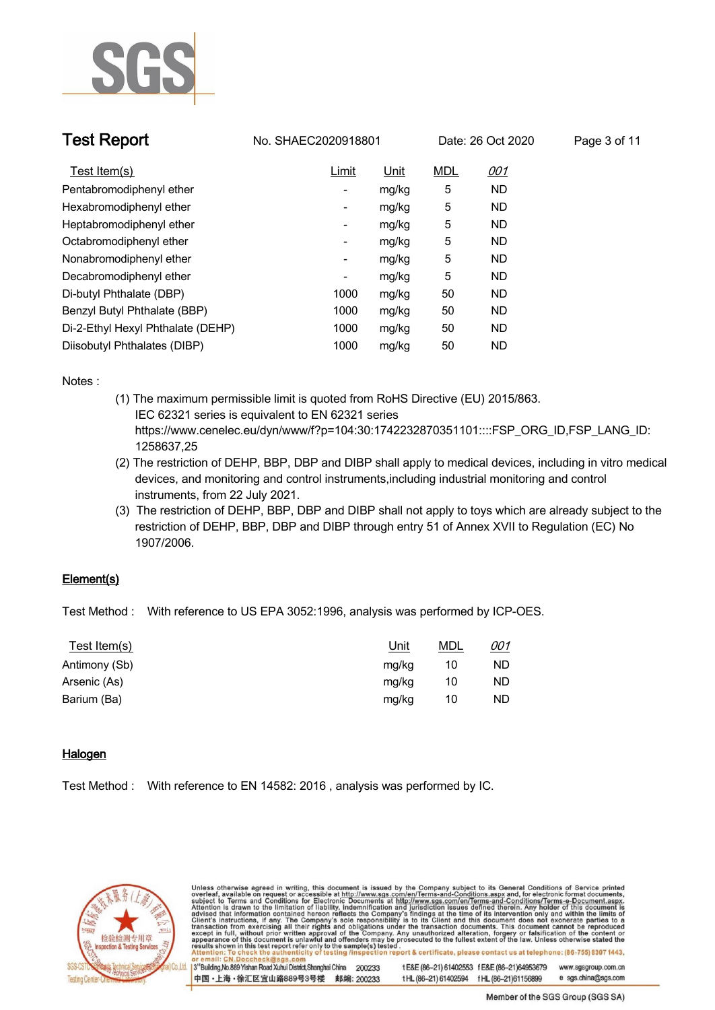

| <b>Test Report</b>                | No. SHAEC2020918801      |             | Date: 26 Oct 2020 |            | Page 3 of 11 |
|-----------------------------------|--------------------------|-------------|-------------------|------------|--------------|
| Test Item(s)                      | Limit                    | <u>Unit</u> | <b>MDL</b>        | <u>001</u> |              |
| Pentabromodiphenyl ether          | -                        | mg/kg       | 5                 | <b>ND</b>  |              |
| Hexabromodiphenyl ether           | $\overline{\phantom{0}}$ | mg/kg       | 5                 | <b>ND</b>  |              |
| Heptabromodiphenyl ether          | -                        | mg/kg       | 5                 | <b>ND</b>  |              |
| Octabromodiphenyl ether           | -                        | mg/kg       | 5                 | ND         |              |
| Nonabromodiphenyl ether           | -                        | mg/kg       | 5                 | <b>ND</b>  |              |
| Decabromodiphenyl ether           | -                        | mg/kg       | 5                 | <b>ND</b>  |              |
| Di-butyl Phthalate (DBP)          | 1000                     | mg/kg       | 50                | <b>ND</b>  |              |
| Benzyl Butyl Phthalate (BBP)      | 1000                     | mg/kg       | 50                | <b>ND</b>  |              |
| Di-2-Ethyl Hexyl Phthalate (DEHP) | 1000                     | mg/kg       | 50                | <b>ND</b>  |              |
| Diisobutyl Phthalates (DIBP)      | 1000                     | mg/kg       | 50                | <b>ND</b>  |              |

**Notes :.**

- **(1) The maximum permissible limit is quoted from RoHS Directive (EU) 2015/863. IEC 62321 series is equivalent to EN 62321 series https://www.cenelec.eu/dyn/www/f?p=104:30:1742232870351101::::FSP\_ORG\_ID,FSP\_LANG\_ID: 1258637,25**
- **(2) The restriction of DEHP, BBP, DBP and DIBP shall apply to medical devices, including in vitro medical devices, and monitoring and control instruments,including industrial monitoring and control instruments, from 22 July 2021.**
- **(3) The restriction of DEHP, BBP, DBP and DIBP shall not apply to toys which are already subject to the restriction of DEHP, BBP, DBP and DIBP through entry 51 of Annex XVII to Regulation (EC) No 1907/2006..**

### **Element(s).**

**Test Method :. With reference to US EPA 3052:1996, analysis was performed by ICP-OES. .**

| Test Item(s)  | <u>Unit</u> | <b>MDL</b> | 001 |
|---------------|-------------|------------|-----|
| Antimony (Sb) | mg/kg       | 10         | ND  |
| Arsenic (As)  | mg/kg       | 10         | ND  |
| Barium (Ba)   | mg/kg       | 10         | ND  |

### **Halogen.**

**Test Method :. With reference to EN 14582: 2016 , analysis was performed by IC. .**



Unless otherwise agreed in writing, this document is issued by the Company subject to its General Conditions of Service printed overleaf, available on request or accessible at http://www.sgs.com/en/Terms-and-Conditions.asp t E&E (86-21) 61402553 f E&E (86-21)64953679 3<sup>rd</sup>Building, No.889 Yishan Road Xuhui District, Shanghai China 200233 www.sgsgroup.com.cn

中国·上海·徐汇区宜山路889号3号楼 邮编: 200233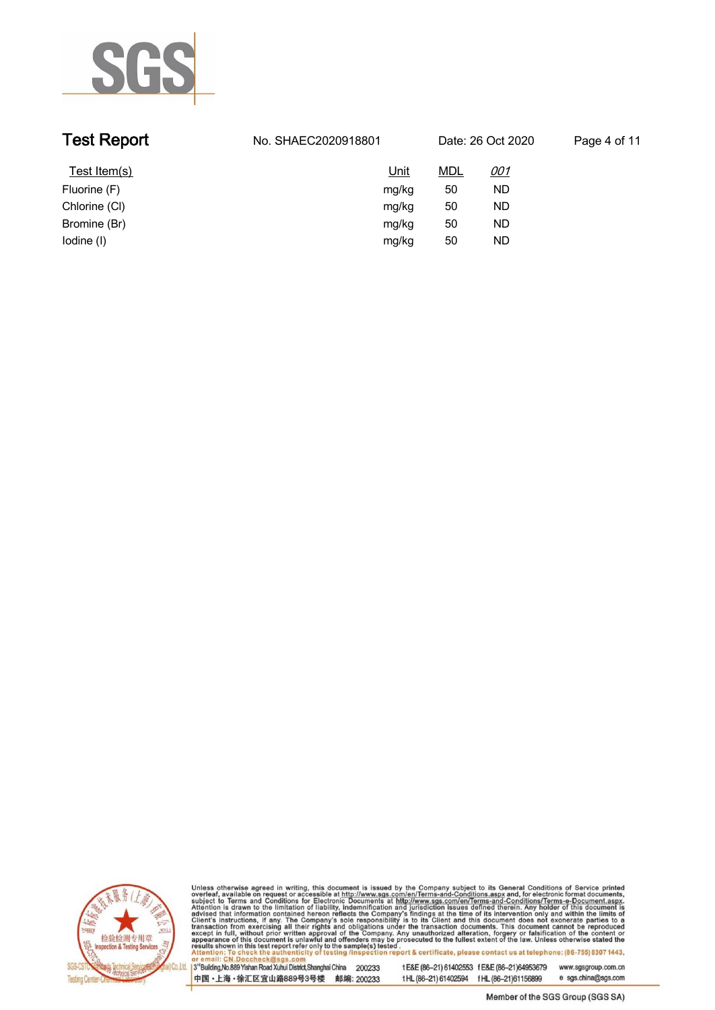

| <b>Test Report</b> | No. SHAEC2020918801 | Date: 26 Oct 2020 |            | Page 4 of 11 |
|--------------------|---------------------|-------------------|------------|--------------|
| Test Item(s)       | <u>Unit</u>         | <u>MDL</u>        | <u>001</u> |              |
| Fluorine (F)       | mg/kg               | 50                | ND         |              |
| Chlorine (CI)      | mg/kg               | 50                | ND         |              |
| Bromine (Br)       | mg/kg               | 50                | ND         |              |
| lodine (I)         | mg/kg               | 50                | ND         |              |



Unless otherwise agreed in writing, this document is issued by the Company subject to its General Conditions of Service printed overleaf, available on request or accessible at http://www.sgs.com/en/Terms-and-Conditions.asp

13<sup>rd</sup> Building, No.889 Yishan Road Xuhui District, Shanghai China 200233 中国·上海·徐汇区宜山路889号3号楼 邮编: 200233 tE&E (86-21) 61402553 fE&E (86-21)64953679 www.sgsgroup.com.cn

e sgs.china@sgs.com t HL (86-21) 61402594 f HL (86-21) 61156899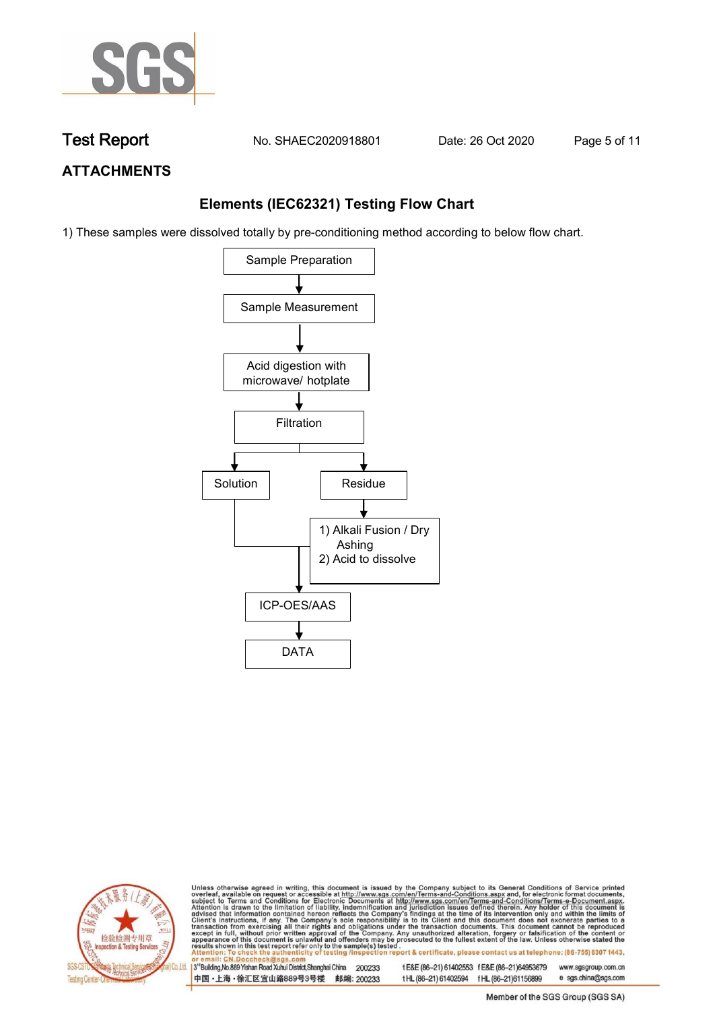

**Test Report. No. SHAEC2020918801 Date: 26 Oct 2020. Page 5 of 11.**

## **ATTACHMENTS**

### **Elements (IEC62321) Testing Flow Chart**

1) These samples were dissolved totally by pre-conditioning method according to below flow chart.





Unless otherwise agreed in writing, this document is issued by the Company subject to its General Conditions of Service printed overleaf, available on request or accessible at http://www.sgs.com/en/Terms-and-Conditions.asp

3<sup>rd</sup> Building, No.889 Yishan Road Xuhui District, Shanghai China 200233 中国·上海·徐汇区宜山路889号3号楼 邮编: 200233 tE&E (86-21) 61402553 fE&E (86-21)64953679 www.sgsgroup.com.cn e sgs.china@sgs.com t HL (86-21) 61402594 f HL (86-21) 61156899

Member of the SGS Group (SGS SA)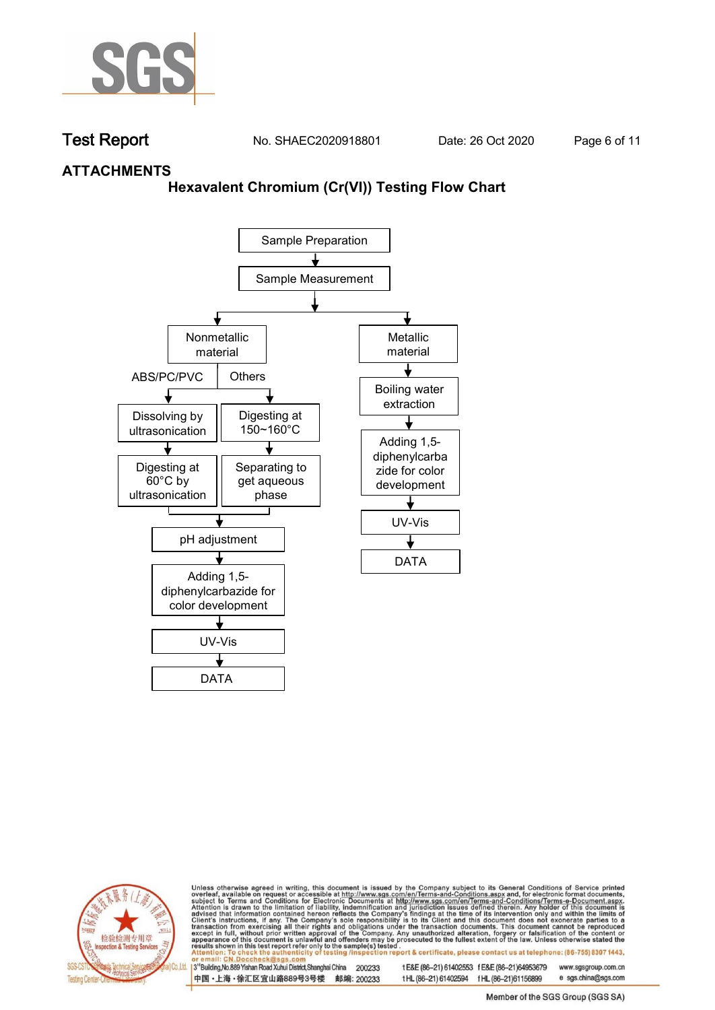

**Test Report. No. SHAEC2020918801 Date: 26 Oct 2020. Page 6 of 11.**

### **ATTACHMENTS**

### **Hexavalent Chromium (Cr(VI)) Testing Flow Chart**





Unless otherwise agreed in writing, this document is issued by the Company subject to its General Conditions of Service printed overleaf, available on request or accessible at http://www.sgs.com/en/Terms-and-Conditions.asp

3<sup>rd</sup> Building, No.889 Yishan Road Xuhui District, Shanghai China 200233 中国·上海·徐汇区宜山路889号3号楼 邮编: 200233 tE&E (86-21) 61402553 fE&E (86-21)64953679 www.sgsgroup.com.cn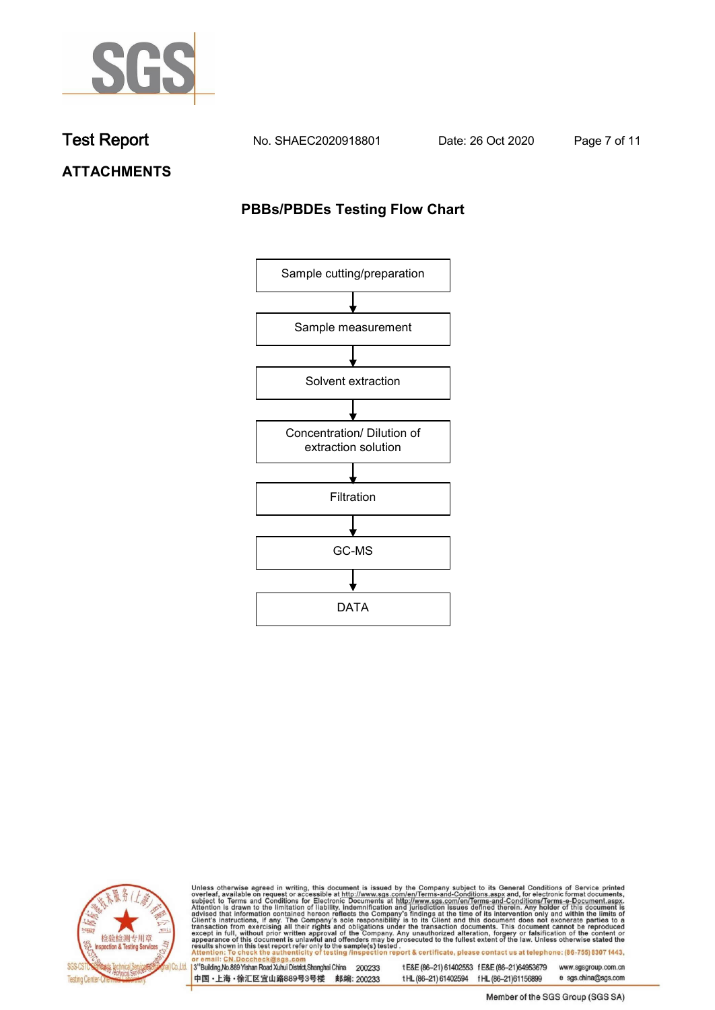

**Test Report. No. SHAEC2020918801 Date: 26 Oct 2020. Page 7 of 11.**

**ATTACHMENTS**

## **PBBs/PBDEs Testing Flow Chart**





Unless otherwise agreed in writing, this document is issued by the Company subject to its General Conditions of Service printed overleaf, available on request or accessible at http://www.sgs.com/en/Terms-and-Conditions.asp

3<sup>'</sup>Building, No.889 Yishan Road Xuhui District, Shanghai China 200233 中国·上海·徐汇区宜山路889号3号楼 邮编: 200233

tE&E (86-21) 61402553 fE&E (86-21)64953679 www.sgsgroup.com.cn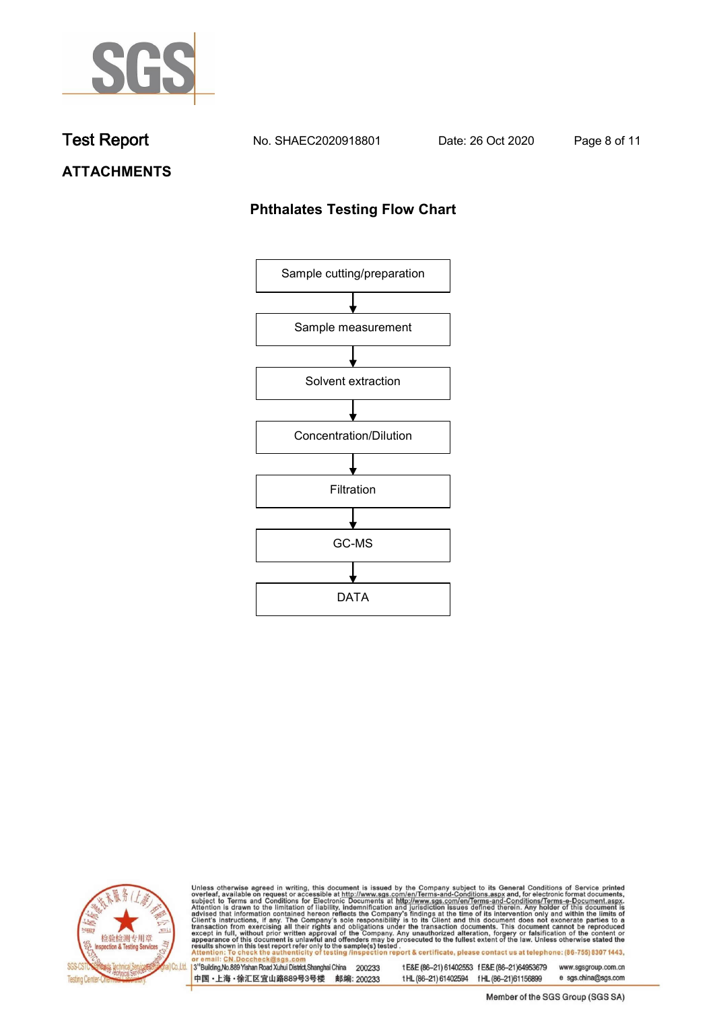

**Test Report. No. SHAEC2020918801 Date: 26 Oct 2020. Page 8 of 11.**

# **ATTACHMENTS**

### **Phthalates Testing Flow Chart**





Unless otherwise agreed in writing, this document is issued by the Company subject to its General Conditions of Service printed overleaf, available on request or accessible at http://www.sgs.com/en/Terms-and-Conditions.asp

3<sup>'</sup>Building, No.889 Yishan Road Xuhui District, Shanghai China 200233 中国·上海·徐汇区宜山路889号3号楼 邮编: 200233

tE&E (86-21) 61402553 fE&E (86-21)64953679 www.sgsgroup.com.cn

e sgs.china@sgs.com t HL (86-21) 61402594 f HL (86-21) 61156899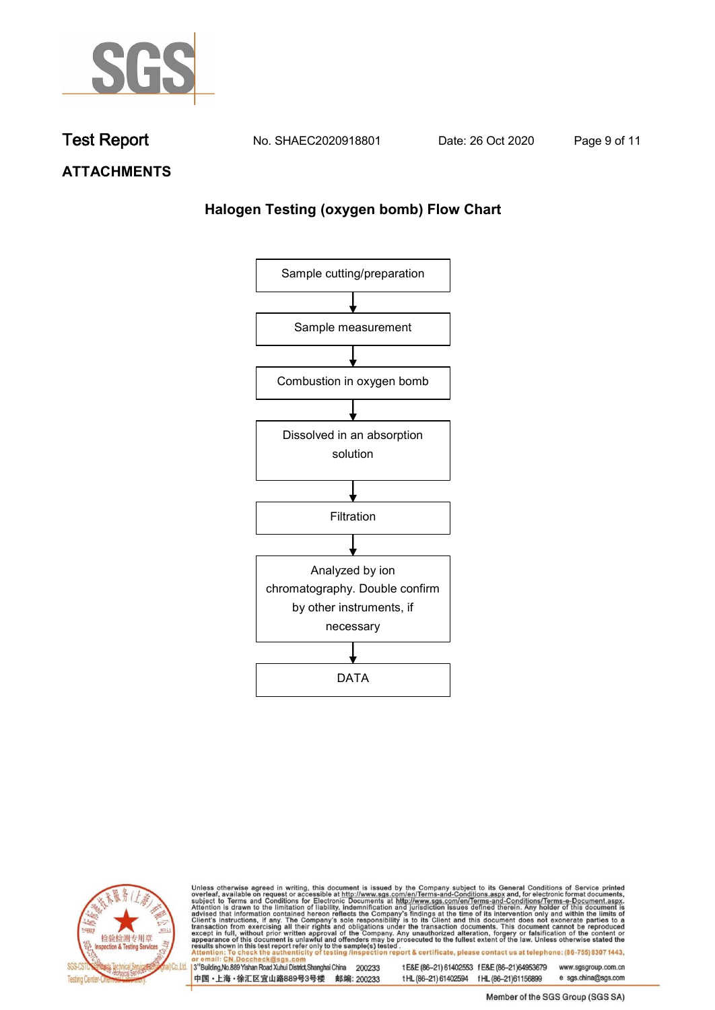

**Test Report. No. SHAEC2020918801 Date: 26 Oct 2020. Page 9 of 11.**

**ATTACHMENTS**

# **Halogen Testing (oxygen bomb) Flow Chart**





Unless otherwise agreed in writing, this document is issued by the Company subject to its General Conditions of Service printed overleaf, available on request or accessible at http://www.sgs.com/en/Terms-and-Conditions.asp

3<sup>'</sup>Building, No.889 Yishan Road Xuhui District, Shanghai China 200233 中国·上海·徐汇区宜山路889号3号楼 邮编: 200233

tE&E (86-21) 61402553 fE&E (86-21)64953679 www.sgsgroup.com.cn

e sgs.china@sgs.com t HL (86-21) 61402594 f HL (86-21) 61156899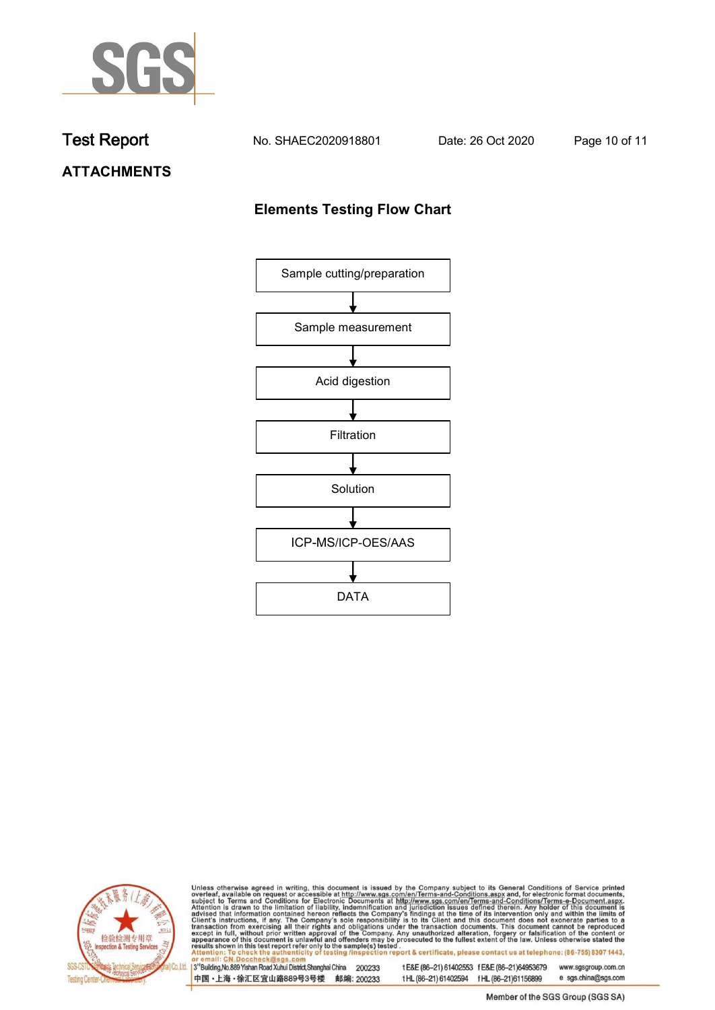

**Test Report. No. SHAEC2020918801 Date: 26 Oct 2020. Page 10 of 11.**

# **ATTACHMENTS**

## **Elements Testing Flow Chart**





Unless otherwise agreed in writing, this document is issued by the Company subject to its General Conditions of Service printed overleaf, available on request or accessible at http://www.sgs.com/en/Terms-and-Conditions.asp

3<sup>'</sup>Building, No.889 Yishan Road Xuhui District, Shanghai China 200233 中国·上海·徐汇区宜山路889号3号楼 邮编: 200233

tE&E (86-21) 61402553 fE&E (86-21)64953679 www.sgsgroup.com.cn

e sgs.china@sgs.com t HL (86-21) 61402594 f HL (86-21) 61156899 Member of the SGS Group (SGS SA)